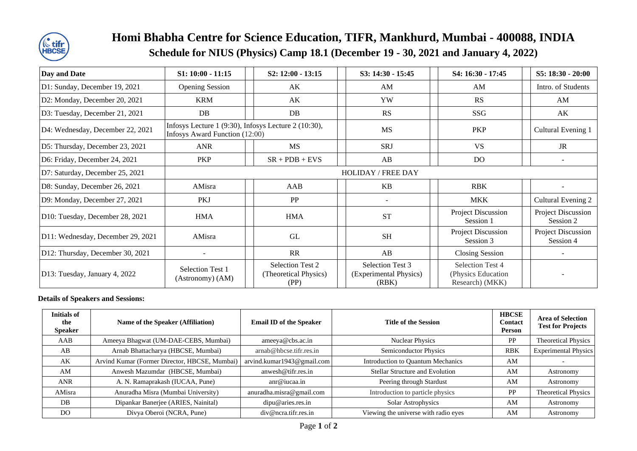

## **Homi Bhabha Centre for Science Education, TIFR, Mankhurd, Mumbai - 400088, INDIA Schedule for NIUS (Physics) Camp 18.1 (December 19 - 30, 2021 and January 4, 2022)**

| Day and Date                      | $S1: 10:00 - 11:15$                                                                    |  | S2: 12:00 - 13:15                                        |  | S3: 14:30 - 15:45                                   |  | S4: 16:30 - 17:45                                         |  | S5: 18:30 - 20:00               |
|-----------------------------------|----------------------------------------------------------------------------------------|--|----------------------------------------------------------|--|-----------------------------------------------------|--|-----------------------------------------------------------|--|---------------------------------|
| D1: Sunday, December 19, 2021     | <b>Opening Session</b>                                                                 |  | AK                                                       |  | AM                                                  |  | AM                                                        |  | Intro. of Students              |
| D2: Monday, December 20, 2021     | <b>KRM</b>                                                                             |  | AK                                                       |  | YW                                                  |  | <b>RS</b>                                                 |  | AM                              |
| D3: Tuesday, December 21, 2021    | DB                                                                                     |  | DB                                                       |  | <b>RS</b>                                           |  | SSG                                                       |  | AK                              |
| D4: Wednesday, December 22, 2021  | Infosys Lecture 1 (9:30), Infosys Lecture 2 (10:30),<br>Infosys Award Function (12:00) |  |                                                          |  | <b>MS</b>                                           |  | PKP                                                       |  | Cultural Evening 1              |
| D5: Thursday, December 23, 2021   | <b>ANR</b>                                                                             |  | <b>MS</b>                                                |  | SRJ                                                 |  | <b>VS</b>                                                 |  | <b>JR</b>                       |
| D6: Friday, December 24, 2021     | <b>PKP</b>                                                                             |  | $SR + PDB + EVS$                                         |  | AB                                                  |  | <b>DO</b>                                                 |  |                                 |
| D7: Saturday, December 25, 2021   | <b>HOLIDAY / FREE DAY</b>                                                              |  |                                                          |  |                                                     |  |                                                           |  |                                 |
| D8: Sunday, December 26, 2021     | AMisra                                                                                 |  | AAB                                                      |  | <b>KB</b>                                           |  | <b>RBK</b>                                                |  |                                 |
| D9: Monday, December 27, 2021     | PKJ                                                                                    |  | <b>PP</b>                                                |  |                                                     |  | <b>MKK</b>                                                |  | Cultural Evening 2              |
| D10: Tuesday, December 28, 2021   | <b>HMA</b>                                                                             |  | <b>HMA</b>                                               |  | <b>ST</b>                                           |  | Project Discussion<br>Session 1                           |  | Project Discussion<br>Session 2 |
| D11: Wednesday, December 29, 2021 | AMisra                                                                                 |  | GL                                                       |  | <b>SH</b>                                           |  | Project Discussion<br>Session 3                           |  | Project Discussion<br>Session 4 |
| D12: Thursday, December 30, 2021  |                                                                                        |  | <b>RR</b>                                                |  | AB                                                  |  | <b>Closing Session</b>                                    |  |                                 |
| D13: Tuesday, January 4, 2022     | Selection Test 1<br>(Astronomy) (AM)                                                   |  | <b>Selection Test 2</b><br>(Theoretical Physics)<br>(PP) |  | Selection Test 3<br>(Experimental Physics)<br>(RBK) |  | Selection Test 4<br>(Physics Education<br>Research) (MKK) |  |                                 |

## **Details of Speakers and Sessions:**

| Initials of<br>the<br><b>Speaker</b> | Name of the Speaker (Affiliation)             | <b>Email ID of the Speaker</b> | <b>Title of the Session</b>          | <b>HBCSE</b><br>Contact<br>Person | <b>Area of Selection</b><br><b>Test for Projects</b> |
|--------------------------------------|-----------------------------------------------|--------------------------------|--------------------------------------|-----------------------------------|------------------------------------------------------|
| AAB                                  | Ameeya Bhagwat (UM-DAE-CEBS, Mumbai)          | ameeya@obs.ac.in               | <b>Nuclear Physics</b>               | PP                                | <b>Theoretical Physics</b>                           |
| AB                                   | Arnab Bhattacharya (HBCSE, Mumbai)            | arnab@hbcse.tifr.res.in        | <b>Semiconductor Physics</b>         | <b>RBK</b>                        | <b>Experimental Physics</b>                          |
| AK                                   | Arvind Kumar (Former Director, HBCSE, Mumbai) | arvind.kumar1943@gmail.com     | Introduction to Quantum Mechanics    | AM                                |                                                      |
| AM                                   | Anwesh Mazumdar (HBCSE, Mumbai)               | anwesh@tifr.res.in             | Stellar Structure and Evolution      | AM                                | Astronomy                                            |
| <b>ANR</b>                           | A. N. Ramaprakash (IUCAA, Pune)               | anr@iucaa.in                   | Peering through Stardust             | AM                                | Astronomy                                            |
| AMisra                               | Anuradha Misra (Mumbai University)            | anuradha.misra@gmail.com       | Introduction to particle physics     | PP                                | <b>Theoretical Physics</b>                           |
| DB                                   | Dipankar Banerjee (ARIES, Nainital)           | dipu@aries,res.in              | Solar Astrophysics                   | AM                                | Astronomy                                            |
| DO                                   | Divya Oberoi (NCRA, Pune)                     | div@ncra.tifr.res.in           | Viewing the universe with radio eyes | AM                                | Astronomy                                            |